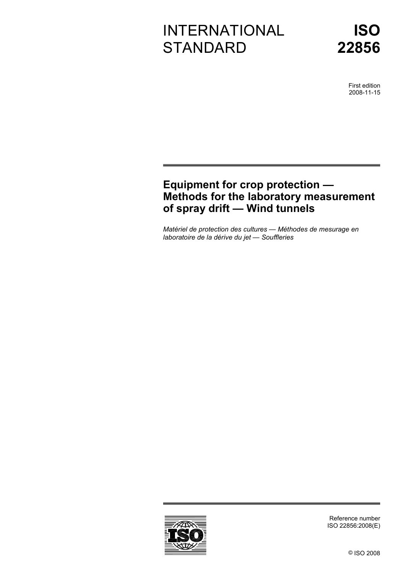# INTERNATIONAL **STANDARD**



First edition 2008-11-15

# **Equipment for crop protection — Methods for the laboratory measurement of spray drift — Wind tunnels**

*Matériel de protection des cultures — Méthodes de mesurage en laboratoire de la dérive du jet — Souffleries* 



Reference number ISO 22856:2008(E)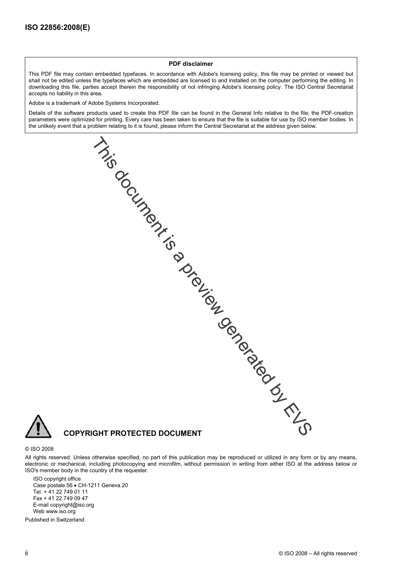# **PDF disclaimer**

This PDF file may contain embedded typefaces. In accordance with Adobe's licensing policy, this file may be printed or viewed but shall not be edited unless the typefaces which are embedded are licensed to and installed on the computer performing the editing. In downloading this file, parties accept therein the responsibility of not infringing Adobe's licensing policy. The ISO Central Secretariat accepts no liability in this area.

Adobe is a trademark of Adobe Systems Incorporated.

Details of the software products used to create this PDF file can be found in the General Info relative to the file; the PDF-creation parameters were optimized for printing. Every care has been taken to ensure that the file is suitable for use by ISO member bodies. In the unlikely event that a problem relating to it is found, please inform the Central Secretariat at the address given below.

**CORTAGILATION CONTRACTED DOCUMENT**<br>COPYRIGHT PROTECTED DOCUMENT



#### © ISO 2008

All rights reserved. Unless otherwise specified, no part of this publication may be reproduced or utilized in any form or by any means, electronic or mechanical, including photocopying and microfilm, without permission in writing from either ISO at the address below or ISO's member body in the country of the requester.

ISO copyright office Case postale 56 • CH-1211 Geneva 20 Tel. + 41 22 749 01 11 Fax + 41 22 749 09 47 E-mail copyright@iso.org Web www.iso.org

Published in Switzerland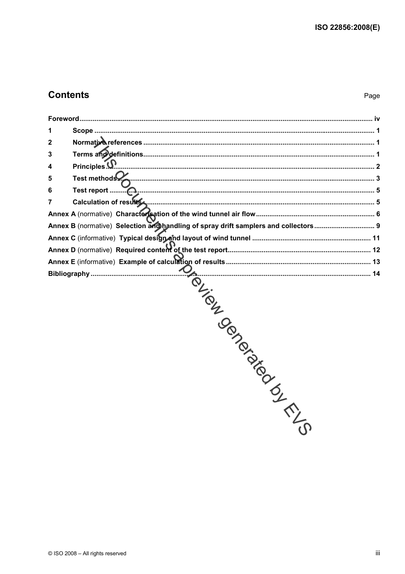# **Contents**

| 1              |                                                                                     |
|----------------|-------------------------------------------------------------------------------------|
| $\mathbf 2$    |                                                                                     |
| 3              |                                                                                     |
| 4              |                                                                                     |
| 5              |                                                                                     |
| 6              |                                                                                     |
| $\overline{7}$ | Calculation of results (2000) 5                                                     |
|                |                                                                                     |
|                | Annex B (normative) Selection and handling of spray drift samplers and collectors 9 |
|                |                                                                                     |
|                |                                                                                     |
|                |                                                                                     |
|                | $\overline{\mathcal{C}}$                                                            |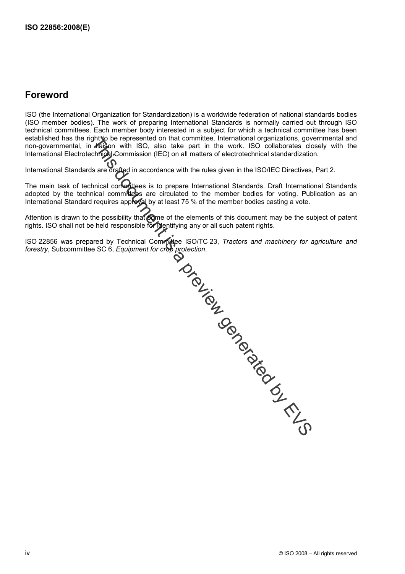# **Foreword**

ISO (the International Organization for Standardization) is a worldwide federation of national standards bodies (ISO member bodies). The work of preparing International Standards is normally carried out through ISO technical committees. Each member body interested in a subject for which a technical committee has been established has the right to be represented on that committee. International organizations, governmental and non-governmental, in haison with ISO, also take part in the work. ISO collaborates closely with the International Electrotechnical Commission (IEC) on all matters of electrotechnical standardization.

International Standards are drafted in accordance with the rules given in the ISO/IEC Directives, Part 2.

The main task of technical contrattees is to prepare International Standards. Draft International Standards adopted by the technical committees are circulated to the member bodies for voting. Publication as an International Standard requires approval by at least 75 % of the member bodies casting a vote.

Attention is drawn to the possibility that some of the elements of this document may be the subject of patent rights. ISO shall not be held responsible for identifying any or all such patent rights.

ISO 22856 was prepared by Technical Committee ISO/TC 23, *Tractors and machinery for agriculture and*